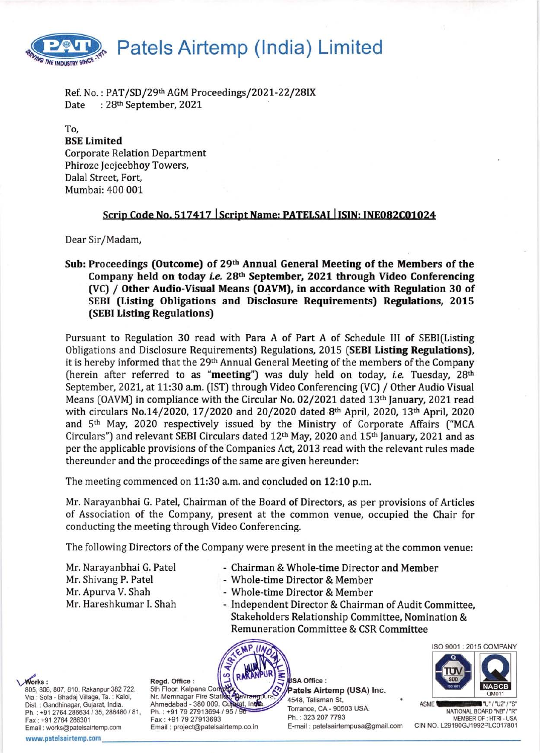

Ref. No.:  $PAT/SD/29th$  AGM Proceedings/2021-22/28IX<br>Date :  $28th$  September, 2021 :  $28<sup>th</sup>$  September,  $2021$ 

To, BSE Limited Corporate Relation Department Phiroze Jeejeebhoy Towers, Dalal Street, Fort, Mumbai: 400 001

## Scrip Code No. 517417 Script Name: PATELSAI ISIN: INE082C01024

Dear Sir/Madam,

Sub: Proceedings (Outcome) of 29<sup>th</sup> Annual General Meeting of the Members of the Company held on today *i.e.* 28<sup>th</sup> September, 2021 through Video Conferencing (VC) / Other Audio-Visual Means (OAVM), in accordance with Regulation 30 of SEBI (Listing Obligations and Disclosure Requirements) Regulations, 2015 (SEBI Listing Regulations)

Pursuant to Regulation 30 read with Para A of Part A of Schedule III of SEBI(Listing Obligations and Disclosure Requirements) Regulations, 2015 (SEBI Listing Regulations), it is hereby informed that the 29<sup>th</sup> Annual General Meeting of the members of the Company (herein after referred to as "meeting") was duly held on today, *i.e.* Tuesday,  $28<sup>th</sup>$ September, 2021, at 11:30 a.m. (IST) through Video Conferencing (VC) / Other Audio Visual Means (OAVM) in compliance with the Circular No. 02/2021 dated 13th January, 2021 read with circulars No.14/2020, 17/2020 and 20/2020 dated 8th April, 2020, 13th April, 2020 and 5<sup>th</sup> May, 2020 respectively issued by the Ministry of Corporate Affairs ("MCA Circulars") and relevant SEBI Circulars dated  $12<sup>th</sup>$  May, 2020 and  $15<sup>th</sup>$  January, 2021 and as per the applicable provisions of the Companies Act, 2013 read with the relevant rules made thereunder and the proceedings of the same are given hereunder:

The meeting commenced on 11:30 a.m. and concluded on 12:10 p.m.

Mr. Narayanbhai G. Patel, Chairman of the Board of Directors, as per provisions of Articles of Association of the Company, present at the common venue, occupied the Chair for conducting the meeting through Video Conferencing.

The following Directors of the Company were present in the meeting at the common venue:

Mr. Apurva V. Shah - Whole-time Director & Member<br>Mr. Hareshkumar I. Shah - Independent Director & Chairma

- Mr. Narayanbhai G. Patel Chairman & Whole-time Director and Member
- Mr. Shivang P. Patel Whole-time Director & Member
	-
	- Independent Director & Chairman of Audit Committee, Stakeholders Relationship Committee, Nomination & Remuneration Committee & CSR Committee



USA Office : Patels Airtemp (USA) Inc. 4548, Talisman St, at, India Torrance, CA - 90503 USA. Ph. : 323 207 7793 E-mail : patelsairtempusa@gmail.com



ASME **Contract of the United States** "U" / "U2" / "S" NATIONAL BOARD "NB" / "R" MEMBER OF : HTRI - USA CIN NO. L29190GJ1992PLC017801

**Works:** 805, 806, 807, 810, Rakanpur 382 722, Via : Sola - Bhadaj Mllage, Ta. : Kalol, Dist. : Gandhinagar, Gujarat, India. Ph.: +91 2764 286634 / 35, 286480 / 81, Fax: +91 2764 286301 Email : works@patelsairtemp.com www.patelsairtemp.com

Regd. Office : 5th Floor, Kalpana Comp<br>Nr. Memnagar Fire Station Ahmedabad - 380 009. Guy Ph.: +91 79 27913694 / 95 / Fax: +91 7927913693 Email : project@patelsairtemp.co.in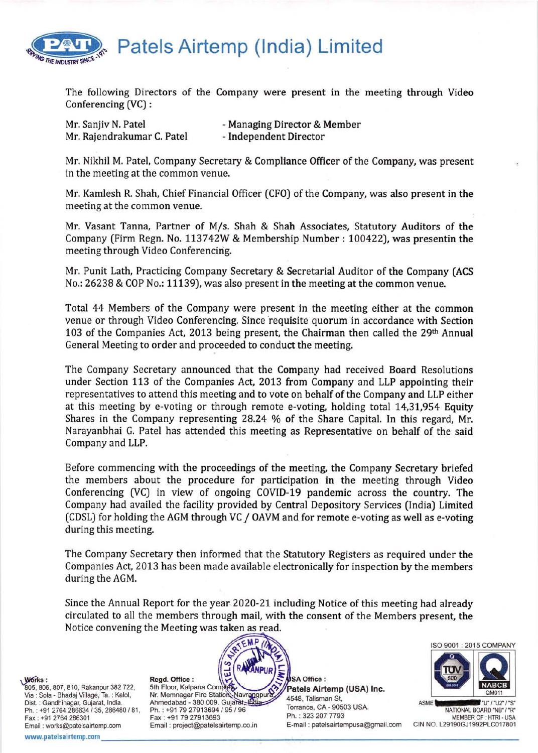

Patels Airtemp (lndia) Limited

The following Directors of the Company were present in the meeting through Video Conferencing [VC) :

| Mr. Sanjiv N. Patel        | - Managing Director & Member |
|----------------------------|------------------------------|
| Mr. Rajendrakumar C. Patel | - Independent Director       |

Mr. Nikhil M. Patel, Company Secretary & Compliance 0fficer of the Company, was present in the meeting at the common venue.

Mr. Kamlesh R. Shah, Chief Financial Officer (CFO) of the Company, was also present in the meeting at the common venue.

Mr. Vasant Tanna, Partner of M/s. Shah & Shah Associates, Statutory Auditors of the Company (Firm Regn. No. 113742W & Membership Number : 100422), was presentin the meeting through Video Conferencing.

Mr. Punit Lath, Practicing Company Secretary & Secretarial Auditor of the Company (ACS No.: 26238 & COP No.: 11139), was also present in the meeting at the common venue.

Total 44 Members of the Company were present in the meeting either at the common venue or through Video Conferencing. Since requisite quorum in accordance with Section 103 of the Companies Act, 2013 being present, the Chairman then called the  $29<sup>th</sup>$  Annual General Meeting to order and proceeded to conduct the meeting.

The Company Secretary announced that the Company had received Board Resolutions under Section 113 of the Companies Act, 2013 from Company and LLP appointing their representatives to attend this meeting and to vote on behalf of the Company and LLP either at this meeting by e-voting or through remote e-voting, holding total 14,31,954 Equity Shares in the Company representing  $28.24\%$  of the Share Capital. In this regard, Mr. Narayanbhai G. Patel has attended this meeting as Representative on behalf of the said Company and LLP.

Before commencing with the proceedings of the meeting the Company Secretary briefed the members about the procedure for participation in the meeting through Video Conferencing (VC) in view of ongoing COVID-19 pandemic across the country. The Company had availed the facility provided by Central Depository Services (lndia) Limited (CDSL) for holding the AGM through VC / OAVM and for remote e-voting as well as e-voting during this meeting.

The Company Secretary then informed that the Statutory Registers as required under the Companies Act, 2013 has been made available electronically for inspection by the members during the AGM.

Since the Annual Report for the year 2020-21 including Notice of this meeting had already circulated to all the members through mail, with the consent of the Members present, the Notice convening the Meeting was taken as read.

Works :

805, 806, 807, 810, Rakanpur 382 722, Via : Sola - Bhadaj Village, Ta. : Kalol, Dist. : Gandhinagar, Gujarat, lndia. Ph.: +91 2764 286634 / 35, 286480 / 81, Fax: +91 2764286301 Email : works@patelsairtemp.com www.patelsairtemp.com

Regd. Office : 5th Floor, Kalpana Com Nr. Memnagar Fire Ahmedabad - 380 009. Ph.: +91 7927913694 /96 Fax: +91 79 27913693 Email : project@patelsairtemp.co.in E-mail : patelsairtempusa@gmail.com CIN NO. L29190GJ1992PLC017801 rl.l

co J



Patels Airtemp (USA) Inc. 4548, Talisman St, Torrance, CA - 90503 USA. Ph. : 323 207 7793



ASME **WASHINGTON** "U" / "U2" / "S" NATIONAL BOARD'NB' /'R' MEMBER OF: HTRI - USA<br>CIN NO. L29190GJ1992PLC017801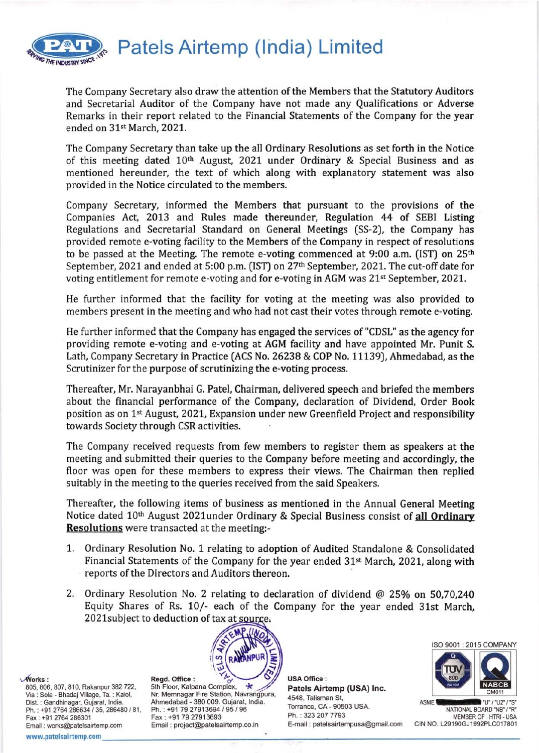

Patels Airtemp (lndia) Limited

The Company Secretary also draw the attention of the Members that the Statutory Auditors and Secretarial Auditor of the Company have not made any Qualifications or Adverse Remarks in their report related to the Financial Statements of the Company for the year ended on 31st March, 2021.

The Company Secretary than take up the all Ordinary Resolutions as set forth in the Notice of this meeting dated 10<sup>th</sup> August, 2021 under Ordinary & Special Business and as mentioned hereunder, the text of which along with explanatory statement was also provided in the Notice circulated to the members.

Company Secretary, informed the Members that pursuant to the provisions of the Companies Act, 2013 and Rules made thereunder, Regulation 44 of SEBI Listing Regulations and Secretarial Standard on General Meetings [SS-2), the Company has provided remote e-voting facility to the Members of the Company in respect of resolutions to be passed at the Meeting. The remote e-voting commenced at 9:00 a.m. (IST) on  $25<sup>th</sup>$ September, 2021 and ended at 5:00 p.m. (IST) on 27<sup>th</sup> September, 2021. The cut-off date for voting entitlement for remote e-voting and for e-voting in AGM was 21<sup>st</sup> September, 2021.

He further informed that the facility for voting at the meeting was also provided to members present in the meeting and who had not cast their votes through remote e-voting.

He further informed that the Company has engaged the services of "CDSL" as the agency for providing remote e-voting and e-voting at AGM facility and have appointed Mr. Punit S. Lath, Company Secretary in Practice (ACS No. 26238 & COP No. 11139), Ahmedabad, as the Scrutinizer for the purpose of scrutinizing the e-voting process.

Thereafter, Mr. Narayanbhai G. Patel, Chairman, delivered speech and briefed the members about the financial performance of the Company, declaration of Dividend, Order Book position as on 1st August 202L, Expansion under new Greenfield Project and responsibility towards Society through CSR activities.

The Company received requests from few members to register them as speakers at the meeting and submitted their queries to the Company before meeting and accordingly, the floor was open for these members to express their views. The Chairman then replied suitably in the meeting to the queries received from the said Speakers.

Thereafter, the following items of business as mentioned in the Annual General Meeting Notice dated 10<sup>th</sup> August 2021under Ordinary & Special Business consist of all Ordinary Resolutions were transacted at the meeting:-

- 1. 0rdinary Resolution No. 1 relating to adoption of Audited Standalone & Consolidated Financial Statements of the Company for the year ended 31<sup>st</sup> March, 2021, along with reports of the Directors and Auditors thereon
- 2. Ordinary Resolution No. 2 relating to declaration of dividend  $@$  25% on 50,70,240 Equity Shares of Rs. 10/- each of the Company for the year ended 31st March, 2021 subject to deduction of tax at source.

=



Regd. Office : 5th Floor, Kalpana Nr. Memnagar Fire Station, Ahmedabad - 380 009. Gujarat, lndia. Ph. : +91 7927913694 / 95 / 96 Fax: +91 79 27913693 Email : project@patelsairtemp.co.in

USAOffice: Patels Airtemp (USA) Inc. 4548, Talisman St, Torrance, CA - 90503 USA. Ph. : 323 2O7 7793 E-mail : patelsairtempusa@gmail.com



ISO 9001 : 2015 COMPANY

ASME **MACHINERY "U"/"U2"/"S'** NATIONAL BOARD'NB' /'R' MEMBER OF : HTRI - USA CIN NO. L29190GJ1992PLC017801